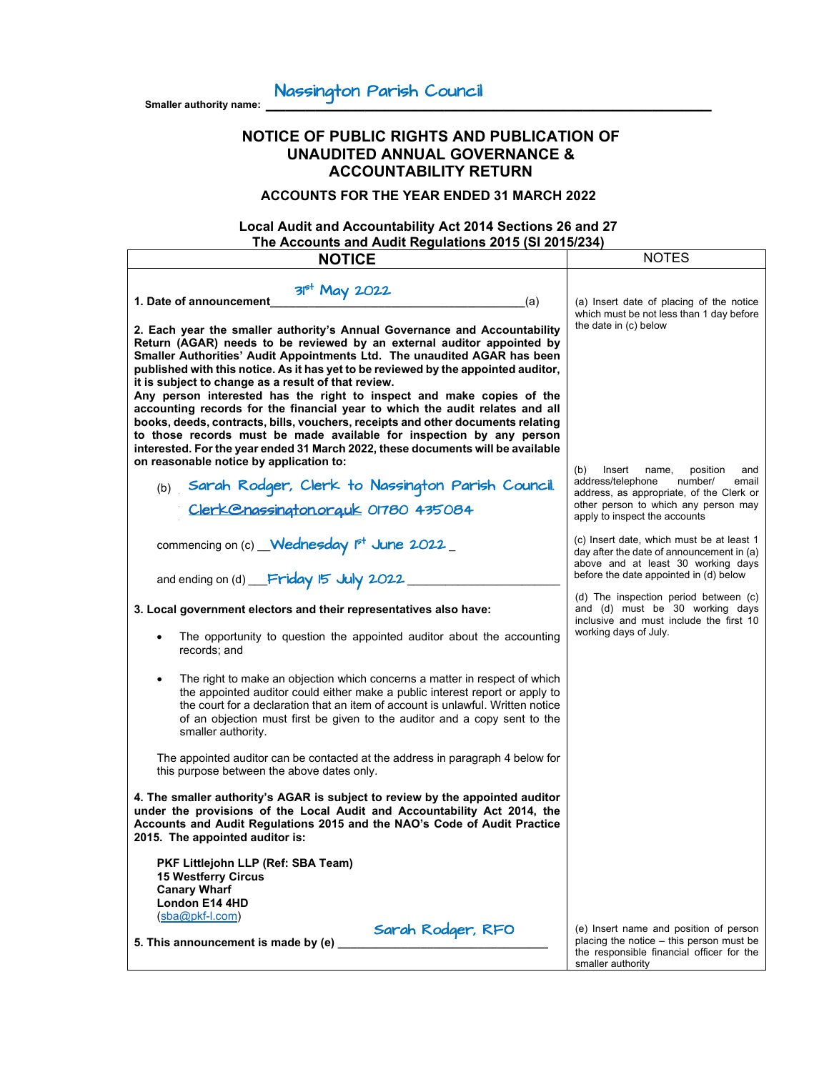**Smaller authority name: \_\_\_\_\_\_\_\_\_\_\_\_\_\_\_\_\_\_\_\_\_\_\_\_\_\_\_\_\_\_\_\_\_\_\_\_\_\_\_\_\_\_\_\_\_** Nassington Parish Council

# **NOTICE OF PUBLIC RIGHTS AND PUBLICATION OF UNAUDITED ANNUAL GOVERNANCE & ACCOUNTABILITY RETURN**

**ACCOUNTS FOR THE YEAR ENDED 31 MARCH 2022**

# **Local Audit and Accountability Act 2014 Sections 26 and 27 The Accounts and Audit Regulations 2015 (SI 2015/234)**

| $\frac{1}{10}$ and $\frac{1}{20}$ and $\frac{1}{20}$ and $\frac{1}{20}$ and $\frac{1}{20}$ and $\frac{1}{20}$ and $\frac{1}{20}$<br><b>NOTICE</b>                                                                                                                                                                                                                                                                                                                                                                                                                                                                                                                                                                                                                                                                                                 | <b>NOTES</b>                                                                                                                                                                                            |
|---------------------------------------------------------------------------------------------------------------------------------------------------------------------------------------------------------------------------------------------------------------------------------------------------------------------------------------------------------------------------------------------------------------------------------------------------------------------------------------------------------------------------------------------------------------------------------------------------------------------------------------------------------------------------------------------------------------------------------------------------------------------------------------------------------------------------------------------------|---------------------------------------------------------------------------------------------------------------------------------------------------------------------------------------------------------|
|                                                                                                                                                                                                                                                                                                                                                                                                                                                                                                                                                                                                                                                                                                                                                                                                                                                   |                                                                                                                                                                                                         |
| 3 <sup>pt</sup> May 2022<br>1. Date of announcement<br>(a)<br>2. Each year the smaller authority's Annual Governance and Accountability<br>Return (AGAR) needs to be reviewed by an external auditor appointed by<br>Smaller Authorities' Audit Appointments Ltd. The unaudited AGAR has been<br>published with this notice. As it has yet to be reviewed by the appointed auditor,<br>it is subject to change as a result of that review.<br>Any person interested has the right to inspect and make copies of the<br>accounting records for the financial year to which the audit relates and all<br>books, deeds, contracts, bills, vouchers, receipts and other documents relating<br>to those records must be made available for inspection by any person<br>interested. For the year ended 31 March 2022, these documents will be available | (a) Insert date of placing of the notice<br>which must be not less than 1 day before<br>the date in (c) below                                                                                           |
| on reasonable notice by application to:<br>Sarah Rodger, Clerk to Nassington Parish Council.<br>(b)<br>Clerk@nassington.orguk 01780 435084                                                                                                                                                                                                                                                                                                                                                                                                                                                                                                                                                                                                                                                                                                        | (b)<br>Insert<br>position<br>name,<br>and<br>address/telephone<br>number/<br>email<br>address, as appropriate, of the Clerk or<br>other person to which any person may<br>apply to inspect the accounts |
| commencing on (c) Wednesday P <sup>+</sup> June 2022                                                                                                                                                                                                                                                                                                                                                                                                                                                                                                                                                                                                                                                                                                                                                                                              | (c) Insert date, which must be at least 1<br>day after the date of announcement in (a)<br>above and at least 30 working days<br>before the date appointed in (d) below                                  |
| and ending on (d) Friday 15 July 2022                                                                                                                                                                                                                                                                                                                                                                                                                                                                                                                                                                                                                                                                                                                                                                                                             |                                                                                                                                                                                                         |
| 3. Local government electors and their representatives also have:<br>The opportunity to question the appointed auditor about the accounting<br>records; and                                                                                                                                                                                                                                                                                                                                                                                                                                                                                                                                                                                                                                                                                       | (d) The inspection period between (c)<br>and (d) must be 30 working days<br>inclusive and must include the first 10<br>working days of July.                                                            |
| The right to make an objection which concerns a matter in respect of which<br>the appointed auditor could either make a public interest report or apply to<br>the court for a declaration that an item of account is unlawful. Written notice<br>of an objection must first be given to the auditor and a copy sent to the<br>smaller authority.                                                                                                                                                                                                                                                                                                                                                                                                                                                                                                  |                                                                                                                                                                                                         |
| The appointed auditor can be contacted at the address in paragraph 4 below for<br>this purpose between the above dates only.                                                                                                                                                                                                                                                                                                                                                                                                                                                                                                                                                                                                                                                                                                                      |                                                                                                                                                                                                         |
| 4. The smaller authority's AGAR is subject to review by the appointed auditor<br>under the provisions of the Local Audit and Accountability Act 2014, the<br>Accounts and Audit Regulations 2015 and the NAO's Code of Audit Practice<br>2015. The appointed auditor is:                                                                                                                                                                                                                                                                                                                                                                                                                                                                                                                                                                          |                                                                                                                                                                                                         |
| PKF Littlejohn LLP (Ref: SBA Team)<br><b>15 Westferry Circus</b><br><b>Canary Wharf</b><br>London E14 4HD<br>$(sba@pkf-I.com)$                                                                                                                                                                                                                                                                                                                                                                                                                                                                                                                                                                                                                                                                                                                    |                                                                                                                                                                                                         |
| Sarah Rodger, RFO<br>5. This announcement is made by (e)                                                                                                                                                                                                                                                                                                                                                                                                                                                                                                                                                                                                                                                                                                                                                                                          | (e) Insert name and position of person<br>placing the notice - this person must be<br>the responsible financial officer for the<br>smaller authority                                                    |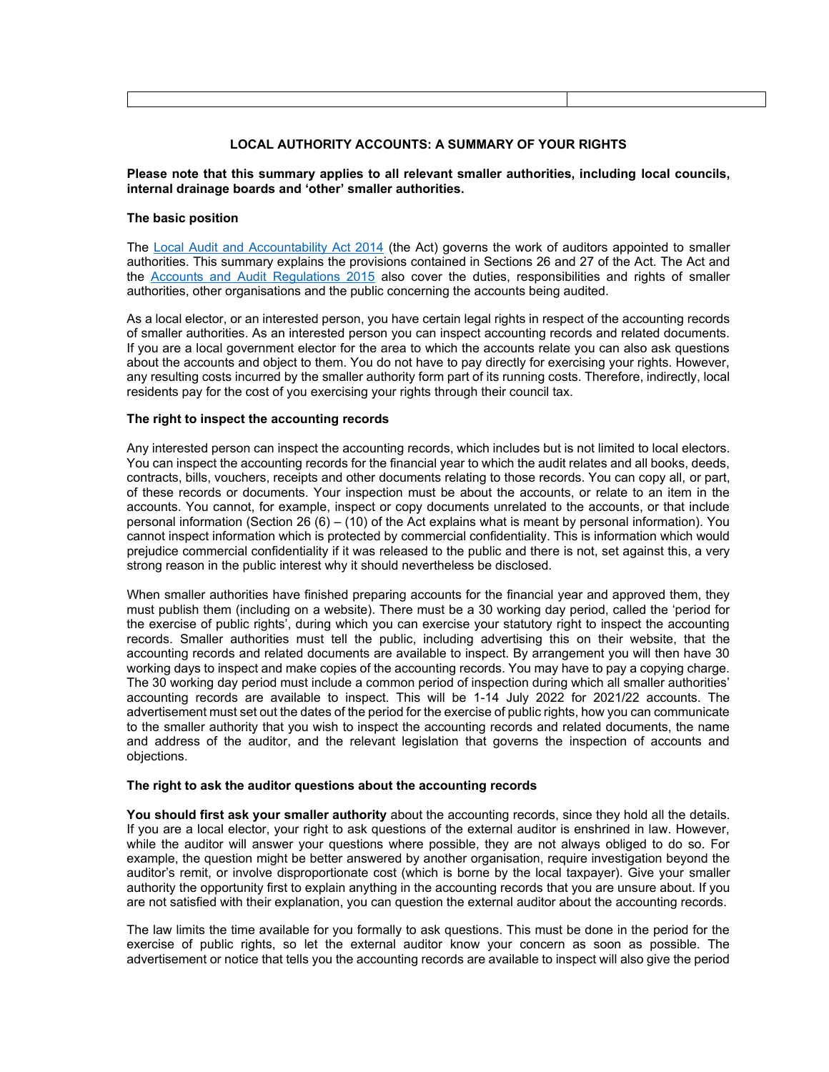### **LOCAL AUTHORITY ACCOUNTS: A SUMMARY OF YOUR RIGHTS**

#### **Please note that this summary applies to all relevant smaller authorities, including local councils, internal drainage boards and 'other' smaller authorities.**

### **The basic position**

The Local Audit and Accountability Act 2014 (the Act) governs the work of auditors appointed to smaller authorities. This summary explains the provisions contained in Sections 26 and 27 of the Act. The Act and the Accounts and Audit Regulations 2015 also cover the duties, responsibilities and rights of smaller authorities, other organisations and the public concerning the accounts being audited.

As a local elector, or an interested person, you have certain legal rights in respect of the accounting records of smaller authorities. As an interested person you can inspect accounting records and related documents. If you are a local government elector for the area to which the accounts relate you can also ask questions about the accounts and object to them. You do not have to pay directly for exercising your rights. However, any resulting costs incurred by the smaller authority form part of its running costs. Therefore, indirectly, local residents pay for the cost of you exercising your rights through their council tax.

# **The right to inspect the accounting records**

Any interested person can inspect the accounting records, which includes but is not limited to local electors. You can inspect the accounting records for the financial year to which the audit relates and all books, deeds, contracts, bills, vouchers, receipts and other documents relating to those records. You can copy all, or part, of these records or documents. Your inspection must be about the accounts, or relate to an item in the accounts. You cannot, for example, inspect or copy documents unrelated to the accounts, or that include personal information (Section 26 (6) – (10) of the Act explains what is meant by personal information). You cannot inspect information which is protected by commercial confidentiality. This is information which would prejudice commercial confidentiality if it was released to the public and there is not, set against this, a very strong reason in the public interest why it should nevertheless be disclosed.

When smaller authorities have finished preparing accounts for the financial year and approved them, they must publish them (including on a website). There must be a 30 working day period, called the 'period for the exercise of public rights', during which you can exercise your statutory right to inspect the accounting records. Smaller authorities must tell the public, including advertising this on their website, that the accounting records and related documents are available to inspect. By arrangement you will then have 30 working days to inspect and make copies of the accounting records. You may have to pay a copying charge. The 30 working day period must include a common period of inspection during which all smaller authorities' accounting records are available to inspect. This will be 1-14 July 2022 for 2021/22 accounts. The advertisement must set out the dates of the period for the exercise of public rights, how you can communicate to the smaller authority that you wish to inspect the accounting records and related documents, the name and address of the auditor, and the relevant legislation that governs the inspection of accounts and objections.

### **The right to ask the auditor questions about the accounting records**

**You should first ask your smaller authority** about the accounting records, since they hold all the details. If you are a local elector, your right to ask questions of the external auditor is enshrined in law. However, while the auditor will answer your questions where possible, they are not always obliged to do so. For example, the question might be better answered by another organisation, require investigation beyond the auditor's remit, or involve disproportionate cost (which is borne by the local taxpayer). Give your smaller authority the opportunity first to explain anything in the accounting records that you are unsure about. If you are not satisfied with their explanation, you can question the external auditor about the accounting records.

The law limits the time available for you formally to ask questions. This must be done in the period for the exercise of public rights, so let the external auditor know your concern as soon as possible. The advertisement or notice that tells you the accounting records are available to inspect will also give the period